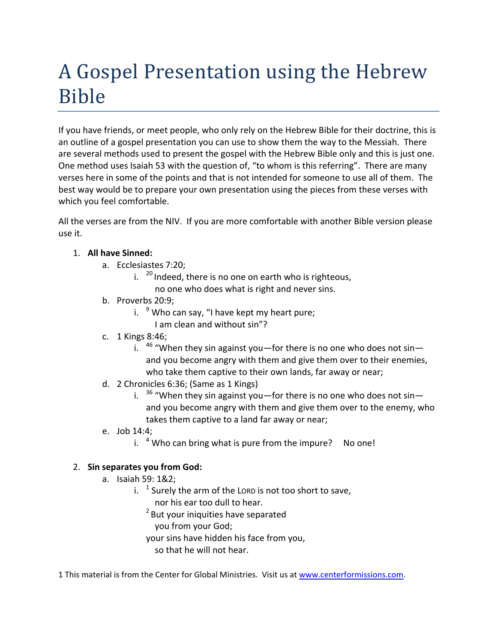# A Gospel Presentation using the Hebrew Bible

If you have friends, or meet people, who only rely on the Hebrew Bible for their doctrine, this is an outline of a gospel presentation you can use to show them the way to the Messiah. There are several methods used to present the gospel with the Hebrew Bible only and this is just one. One method uses Isaiah 53 with the question of, "to whom is this referring". There are many verses here in some of the points and that is not intended for someone to use all of them. The best way would be to prepare your own presentation using the pieces from these verses with which you feel comfortable.

All the verses are from the NIV. If you are more comfortable with another Bible version please use it.

# 1. **All have Sinned:**

- a. Ecclesiastes 7:20;
	- i.  $^{20}$  Indeed, there is no one on earth who is righteous,
		- no one who does what is right and never sins.
- b. Proverbs 20:9;
	- i.  $9$  Who can say, "I have kept my heart pure;
		- I am clean and without sin"?
- c. 1 Kings 8:46;
	- i.  $46$  "When they sin against you—for there is no one who does not sin and you become angry with them and give them over to their enemies, who take them captive to their own lands, far away or near;
- d. 2 Chronicles 6:36; (Same as 1 Kings)
	- i.  $36$  "When they sin against you—for there is no one who does not sin and you become angry with them and give them over to the enemy, who takes them captive to a land far away or near;
- e. Job 14:4;
	- i.  $4$  Who can bring what is pure from the impure? No one!

# 2. **Sin separates you from God:**

- a. Isaiah 59: 1&2;
	- i.  $1$  Surely the arm of the LORD is not too short to save,
		- nor his ear too dull to hear.
		- <sup>2</sup> But your iniquities have separated
			- you from your God;
		- your sins have hidden his face from you,
			- so that he will not hear.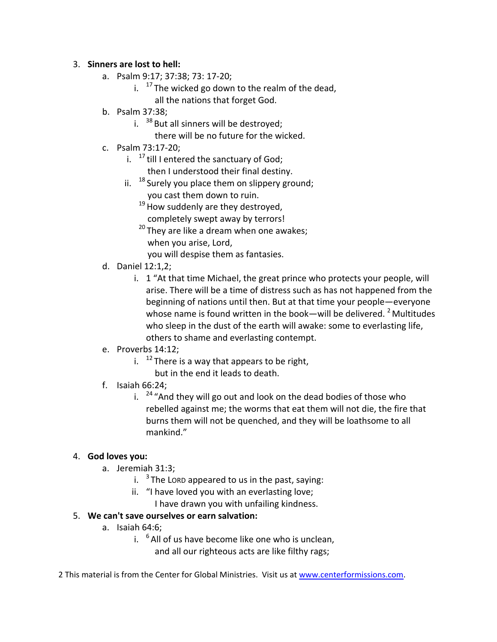#### 3. **Sinners are lost to hell:**

- a. Psalm 9:17; 37:38; 73: 17‐20;
	- i.  $17$  The wicked go down to the realm of the dead, all the nations that forget God.
- b. Psalm 37:38;
	- i.  $38$  But all sinners will be destroyed;
		- there will be no future for the wicked.
- c. Psalm 73:17‐20;
	- i.  $17$  till I entered the sanctuary of God; then I understood their final destiny.
	- ii.  $18$  Surely you place them on slippery ground; you cast them down to ruin.
		- $19$  How suddenly are they destroyed,
		- completely swept away by terrors!
		- $20$  They are like a dream when one awakes; when you arise, Lord,
		- you will despise them as fantasies.
- d. Daniel 12:1,2;
	- i. 1 "At that time Michael, the great prince who protects your people, will arise. There will be a time of distress such as has not happened from the beginning of nations until then. But at that time your people—everyone whose name is found written in the book—will be delivered.  $2^2$  Multitudes who sleep in the dust of the earth will awake: some to everlasting life, others to shame and everlasting contempt.
- e. Proverbs 14:12;
	- i.  $12$  There is a way that appears to be right,
		- but in the end it leads to death.
- f. Isaiah 66:24;
	- i.  $24$  "And they will go out and look on the dead bodies of those who rebelled against me; the worms that eat them will not die, the fire that burns them will not be quenched, and they will be loathsome to all mankind."

# 4. **God loves you:**

- a. Jeremiah 31:3;
	- i.  $3$  The LORD appeared to us in the past, saying:
	- ii. "I have loved you with an everlasting love;
		- I have drawn you with unfailing kindness.

# 5. **We can't save ourselves or earn salvation:**

- a. Isaiah 64:6;
	- i.  $6$  All of us have become like one who is unclean, and all our righteous acts are like filthy rags;
- 2 This material is from the Center for Global Ministries. Visit us at www.centerformissions.com.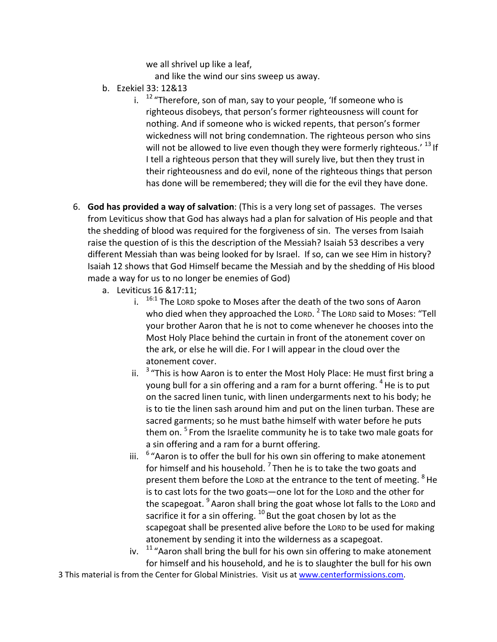we all shrivel up like a leaf,

and like the wind our sins sweep us away.

- b. Ezekiel 33: 12&13
	- i.  $12$  "Therefore, son of man, say to your people, 'If someone who is righteous disobeys, that person's former righteousness will count for nothing. And if someone who is wicked repents, that person's former wickedness will not bring condemnation. The righteous person who sins will not be allowed to live even though they were formerly righteous.' <sup>13</sup> If I tell a righteous person that they will surely live, but then they trust in their righteousness and do evil, none of the righteous things that person has done will be remembered; they will die for the evil they have done.
- 6. **God has provided a way of salvation**: (This is a very long set of passages. The verses from Leviticus show that God has always had a plan for salvation of His people and that the shedding of blood was required for the forgiveness of sin. The verses from Isaiah raise the question of is this the description of the Messiah? Isaiah 53 describes a very different Messiah than was being looked for by Israel. If so, can we see Him in history? Isaiah 12 shows that God Himself became the Messiah and by the shedding of His blood made a way for us to no longer be enemies of God)
	- a. Leviticus 16 &17:11;
		- i.  $16:1$  The LORD spoke to Moses after the death of the two sons of Aaron who died when they approached the LORD.<sup>2</sup> The LORD said to Moses: "Tell your brother Aaron that he is not to come whenever he chooses into the Most Holy Place behind the curtain in front of the atonement cover on the ark, or else he will die. For I will appear in the cloud over the atonement cover.
		- ii.  $3 \text{ }$  "This is how Aaron is to enter the Most Holy Place: He must first bring a young bull for a sin offering and a ram for a burnt offering. <sup>4</sup> He is to put on the sacred linen tunic, with linen undergarments next to his body; he is to tie the linen sash around him and put on the linen turban. These are sacred garments; so he must bathe himself with water before he puts them on.<sup>5</sup> From the Israelite community he is to take two male goats for a sin offering and a ram for a burnt offering.
		- iii.  $6$  "Aaron is to offer the bull for his own sin offering to make atonement for himself and his household.  $7$  Then he is to take the two goats and present them before the LORD at the entrance to the tent of meeting. <sup>8</sup>He is to cast lots for the two goats—one lot for the LORD and the other for the scapegoat. <sup>9</sup> Aaron shall bring the goat whose lot falls to the LORD and sacrifice it for a sin offering.  $^{10}$  But the goat chosen by lot as the scapegoat shall be presented alive before the LORD to be used for making atonement by sending it into the wilderness as a scapegoat.
		- iv.  $11$  "Aaron shall bring the bull for his own sin offering to make atonement for himself and his household, and he is to slaughter the bull for his own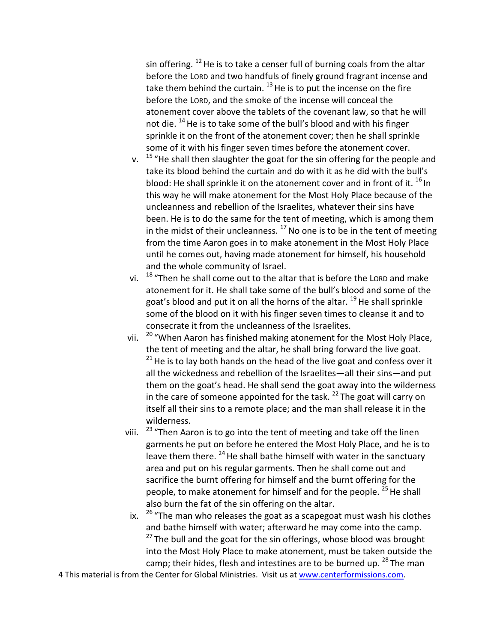sin offering.  $12$  He is to take a censer full of burning coals from the altar before the LORD and two handfuls of finely ground fragrant incense and take them behind the curtain.  $^{13}$  He is to put the incense on the fire before the LORD, and the smoke of the incense will conceal the atonement cover above the tablets of the covenant law, so that he will not die. <sup>14</sup>He is to take some of the bull's blood and with his finger sprinkle it on the front of the atonement cover; then he shall sprinkle some of it with his finger seven times before the atonement cover.

- v. <sup>15</sup> "He shall then slaughter the goat for the sin offering for the people and take its blood behind the curtain and do with it as he did with the bull's blood: He shall sprinkle it on the atonement cover and in front of it. <sup>16</sup> In this way he will make atonement for the Most Holy Place because of the uncleanness and rebellion of the Israelites, whatever their sins have been. He is to do the same for the tent of meeting, which is among them in the midst of their uncleanness.  $17$  No one is to be in the tent of meeting from the time Aaron goes in to make atonement in the Most Holy Place until he comes out, having made atonement for himself, his household and the whole community of Israel.
- vi. <sup>18</sup> "Then he shall come out to the altar that is before the LORD and make atonement for it. He shall take some of the bull's blood and some of the goat's blood and put it on all the horns of the altar. <sup>19</sup> He shall sprinkle some of the blood on it with his finger seven times to cleanse it and to consecrate it from the uncleanness of the Israelites.
- vii. <sup>20</sup> "When Aaron has finished making atonement for the Most Holy Place, the tent of meeting and the altar, he shall bring forward the live goat.  $21$  He is to lay both hands on the head of the live goat and confess over it all the wickedness and rebellion of the Israelites—all their sins—and put them on the goat's head. He shall send the goat away into the wilderness in the care of someone appointed for the task.  $^{22}$  The goat will carry on itself all their sins to a remote place; and the man shall release it in the wilderness.
- viii. <sup>23</sup> "Then Aaron is to go into the tent of meeting and take off the linen garments he put on before he entered the Most Holy Place, and he is to leave them there. <sup>24</sup> He shall bathe himself with water in the sanctuary area and put on his regular garments. Then he shall come out and sacrifice the burnt offering for himself and the burnt offering for the people, to make atonement for himself and for the people. <sup>25</sup> He shall also burn the fat of the sin offering on the altar.
- ix.  $26$  "The man who releases the goat as a scapegoat must wash his clothes and bathe himself with water; afterward he may come into the camp.  $27$  The bull and the goat for the sin offerings, whose blood was brought into the Most Holy Place to make atonement, must be taken outside the camp; their hides, flesh and intestines are to be burned up.  $^{28}$  The man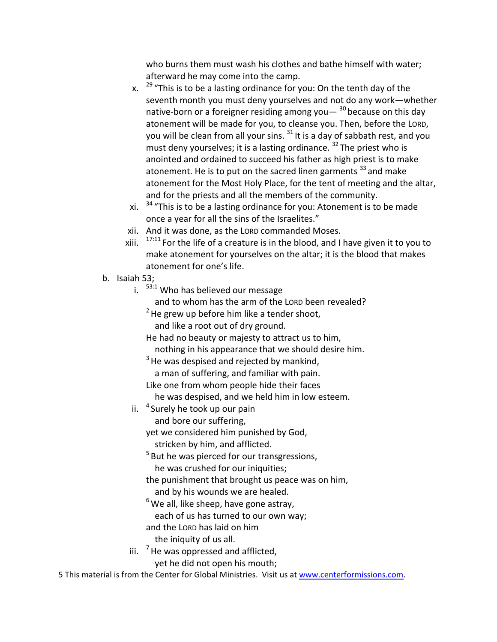who burns them must wash his clothes and bathe himself with water; afterward he may come into the camp.

- x.  $29$  "This is to be a lasting ordinance for you: On the tenth day of the seventh month you must deny yourselves and not do any work—whether native-born or a foreigner residing among you —  $30$  because on this day atonement will be made for you, to cleanse you. Then, before the LORD, you will be clean from all your sins.  $31$  It is a day of sabbath rest, and you must deny yourselves; it is a lasting ordinance. <sup>32</sup> The priest who is anointed and ordained to succeed his father as high priest is to make atonement. He is to put on the sacred linen garments  $33$  and make atonement for the Most Holy Place, for the tent of meeting and the altar, and for the priests and all the members of the community.
- xi.  $34$  "This is to be a lasting ordinance for you: Atonement is to be made once a year for all the sins of the Israelites."
- xii. And it was done, as the LORD commanded Moses.
- xiii.  $17:11$  For the life of a creature is in the blood, and I have given it to you to make atonement for yourselves on the altar; it is the blood that makes atonement for one's life.
- b. Isaiah 53;
	- i.  $53:1$  Who has believed our message
		- and to whom has the arm of the LORD been revealed?
		- $2$ He grew up before him like a tender shoot,
			- and like a root out of dry ground.
		- He had no beauty or majesty to attract us to him,
		- nothing in his appearance that we should desire him.
		- $3$  He was despised and rejected by mankind, a man of suffering, and familiar with pain.
		- Like one from whom people hide their faces
		- he was despised, and we held him in low esteem.
	- ii.  $4$  Surely he took up our pain and bore our suffering,
		- yet we considered him punished by God, stricken by him, and afflicted.
		- <sup>5</sup> But he was pierced for our transgressions, he was crushed for our iniquities;
		- the punishment that brought us peace was on him, and by his wounds we are healed.
		- $6$  We all, like sheep, have gone astray,
			- each of us has turned to our own way;
		- and the LORD has laid on him
			- the iniquity of us all.
	- iii.  $7$  He was oppressed and afflicted,

yet he did not open his mouth;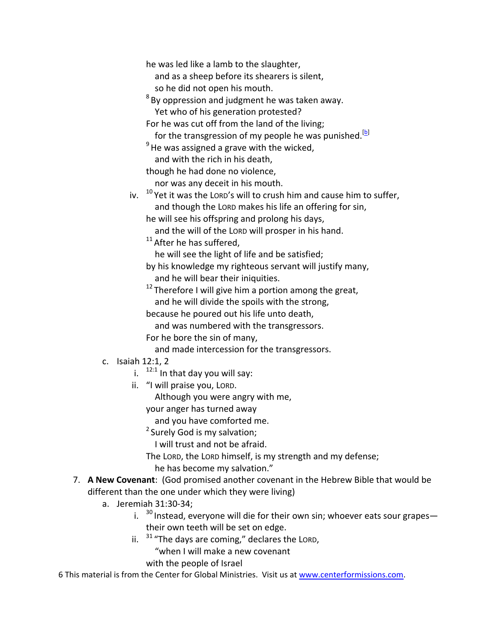he was led like a lamb to the slaughter,

 and as a sheep before its shearers is silent, so he did not open his mouth.

 $8$  By oppression and judgment he was taken away. Yet who of his generation protested?

For he was cut off from the land of the living;

for the transgression of my people he was punished.<sup>[b]</sup>

 $9$ He was assigned a grave with the wicked, and with the rich in his death,

though he had done no violence,

nor was any deceit in his mouth.

iv.  $10$  Yet it was the LORD's will to crush him and cause him to suffer, and though the LORD makes his life an offering for sin,

he will see his offspring and prolong his days,

and the will of the LORD will prosper in his hand.

 $11$  After he has suffered,

he will see the light of life and be satisfied;

by his knowledge my righteous servant will justify many,

and he will bear their iniquities.

 $12$  Therefore I will give him a portion among the great,

and he will divide the spoils with the strong,

because he poured out his life unto death,

and was numbered with the transgressors.

For he bore the sin of many,

and made intercession for the transgressors.

- c. Isaiah 12:1, 2
	- i.  $12:1$  In that day you will say:
	- ii. "I will praise you, LORD.

Although you were angry with me,

your anger has turned away

and you have comforted me.

<sup>2</sup> Surely God is my salvation;

I will trust and not be afraid.

The LORD, the LORD himself, is my strength and my defense;

he has become my salvation."

#### 7. **A New Covenant**: (God promised another covenant in the Hebrew Bible that would be different than the one under which they were living)

- a. Jeremiah 31:30‐34;
	- i.  $30$  Instead, everyone will die for their own sin; whoever eats sour grapes their own teeth will be set on edge.
	- ii.  $31$  "The days are coming," declares the LORD,

"when I will make a new covenant

with the people of Israel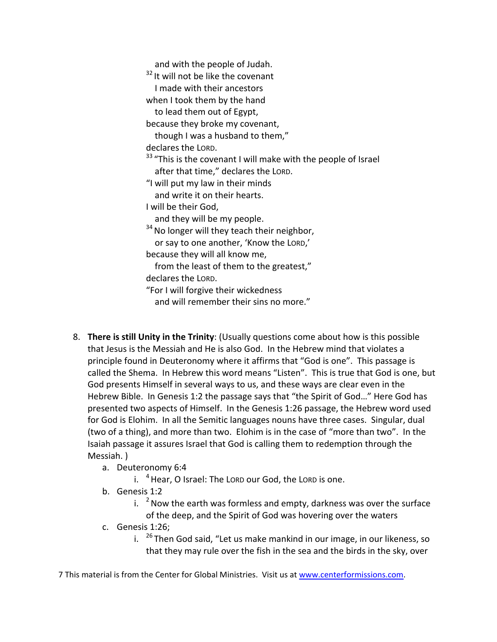and with the people of Judah. <sup>32</sup> It will not be like the covenant I made with their ancestors when I took them by the hand to lead them out of Egypt, because they broke my covenant, though I was a husband to them," declares the LORD. <sup>33</sup> "This is the covenant I will make with the people of Israel after that time," declares the LORD. "I will put my law in their minds and write it on their hearts. I will be their God, and they will be my people. <sup>34</sup> No longer will they teach their neighbor, or say to one another, 'Know the LORD,' because they will all know me, from the least of them to the greatest," declares the LORD. "For I will forgive their wickedness and will remember their sins no more."

- 8. **There is still Unity in the Trinity**: (Usually questions come about how is this possible that Jesus is the Messiah and He is also God. In the Hebrew mind that violates a principle found in Deuteronomy where it affirms that "God is one". This passage is called the Shema. In Hebrew this word means "Listen". This is true that God is one, but God presents Himself in several ways to us, and these ways are clear even in the Hebrew Bible. In Genesis 1:2 the passage says that "the Spirit of God…" Here God has presented two aspects of Himself. In the Genesis 1:26 passage, the Hebrew word used for God is Elohim. In all the Semitic languages nouns have three cases. Singular, dual (two of a thing), and more than two. Elohim is in the case of "more than two". In the Isaiah passage it assures Israel that God is calling them to redemption through the Messiah. )
	- a. Deuteronomy 6:4
		- i.  $4$  Hear, O Israel: The LORD our God, the LORD is one.
	- b. Genesis 1:2
		- i.  $2\%$  Now the earth was formless and empty, darkness was over the surface of the deep, and the Spirit of God was hovering over the waters
	- c. Genesis 1:26;
		- i.  $26$  Then God said, "Let us make mankind in our image, in our likeness, so that they may rule over the fish in the sea and the birds in the sky, over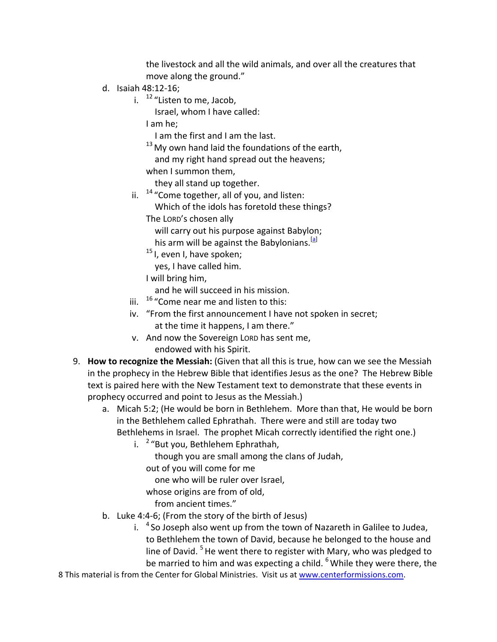the livestock and all the wild animals, and over all the creatures that move along the ground."

- d. Isaiah 48:12‐16;
	- i.  $12$  "Listen to me, Jacob,

Israel, whom I have called:

I am he;

I am the first and I am the last.

 $13$  My own hand laid the foundations of the earth,

and my right hand spread out the heavens;

when I summon them,

they all stand up together.

ii.  $14$  "Come together, all of you, and listen:

Which of the idols has foretold these things?

The LORD's chosen ally

will carry out his purpose against Babylon;

his arm will be against the Babylonians.<sup>[a]</sup>

<sup>15</sup> I, even I, have spoken;

yes, I have called him.

I will bring him,

and he will succeed in his mission.

- iii.  $16$  "Come near me and listen to this:
- iv. "From the first announcement I have not spoken in secret; at the time it happens, I am there."
- v. And now the Sovereign LORD has sent me, endowed with his Spirit.
- 9. **How to recognize the Messiah:** (Given that all this is true, how can we see the Messiah in the prophecy in the Hebrew Bible that identifies Jesus as the one? The Hebrew Bible text is paired here with the New Testament text to demonstrate that these events in prophecy occurred and point to Jesus as the Messiah.)
	- a. Micah 5:2; (He would be born in Bethlehem. More than that, He would be born in the Bethlehem called Ephrathah. There were and still are today two Bethlehems in Israel. The prophet Micah correctly identified the right one.)
		- i.  $2$  "But you, Bethlehem Ephrathah,

though you are small among the clans of Judah,

out of you will come for me

one who will be ruler over Israel,

whose origins are from of old,

from ancient times."

- b. Luke 4:4‐6; (From the story of the birth of Jesus)
	- i.  $4$  So Joseph also went up from the town of Nazareth in Galilee to Judea, to Bethlehem the town of David, because he belonged to the house and line of David.<sup>5</sup> He went there to register with Mary, who was pledged to be married to him and was expecting a child.  $6$  While they were there, the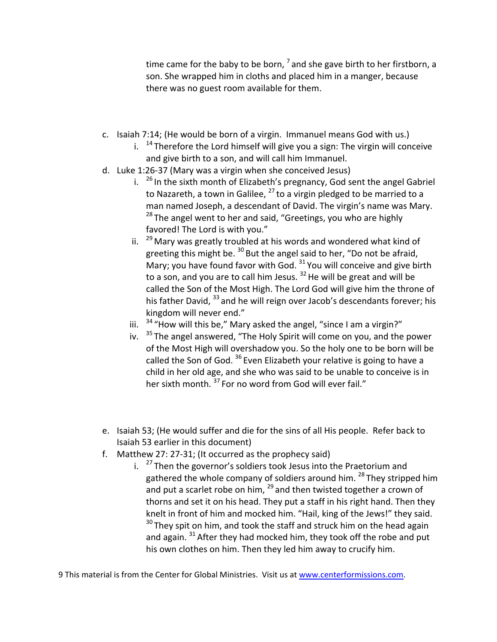time came for the baby to be born,  $^7$  and she gave birth to her firstborn, a son. She wrapped him in cloths and placed him in a manger, because there was no guest room available for them.

- c. Isaiah 7:14; (He would be born of a virgin. Immanuel means God with us.)
	- i.  $14$  Therefore the Lord himself will give you a sign: The virgin will conceive and give birth to a son, and will call him Immanuel.
- d. Luke 1:26‐37 (Mary was a virgin when she conceived Jesus)
	- i.  $26$  In the sixth month of Elizabeth's pregnancy, God sent the angel Gabriel to Nazareth, a town in Galilee,  $^{27}$  to a virgin pledged to be married to a man named Joseph, a descendant of David. The virgin's name was Mary.  $28$  The angel went to her and said, "Greetings, you who are highly favored! The Lord is with you."
	- ii.  $^{29}$  Mary was greatly troubled at his words and wondered what kind of greeting this might be.  $30$  But the angel said to her, "Do not be afraid, Mary; you have found favor with God.  $31$  You will conceive and give birth to a son, and you are to call him Jesus.  $32$  He will be great and will be called the Son of the Most High. The Lord God will give him the throne of his father David, <sup>33</sup> and he will reign over Jacob's descendants forever; his kingdom will never end."
	- iii.  $34$  "How will this be," Mary asked the angel, "since I am a virgin?"
	- iv.  $35$  The angel answered, "The Holy Spirit will come on you, and the power of the Most High will overshadow you. So the holy one to be born will be called the Son of God.<sup>36</sup> Even Elizabeth your relative is going to have a child in her old age, and she who was said to be unable to conceive is in her sixth month.<sup>37</sup> For no word from God will ever fail."
- e. Isaiah 53; (He would suffer and die for the sins of all His people. Refer back to Isaiah 53 earlier in this document)
- f. Matthew 27: 27‐31; (It occurred as the prophecy said)
	- i.  $27$  Then the governor's soldiers took Jesus into the Praetorium and gathered the whole company of soldiers around him.<sup>28</sup> They stripped him and put a scarlet robe on him,  $^{29}$  and then twisted together a crown of thorns and set it on his head. They put a staff in his right hand. Then they knelt in front of him and mocked him. "Hail, king of the Jews!" they said.  $30$  They spit on him, and took the staff and struck him on the head again and again.  $31$  After they had mocked him, they took off the robe and put his own clothes on him. Then they led him away to crucify him.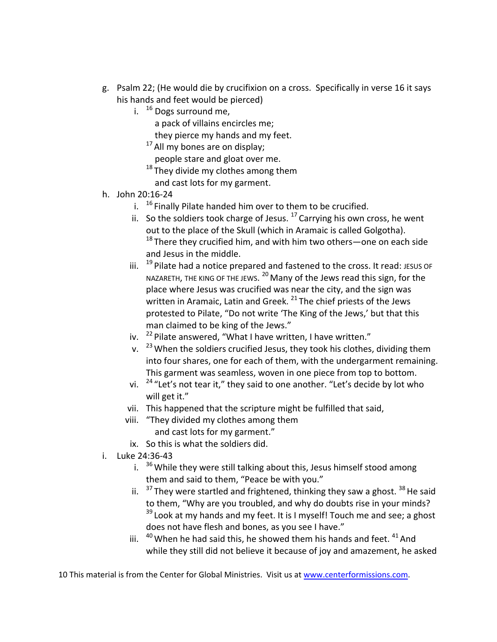- g. Psalm 22; (He would die by crucifixion on a cross. Specifically in verse 16 it says his hands and feet would be pierced)
	- i.  $16$  Dogs surround me,
		- a pack of villains encircles me;
		- they pierce my hands and my feet.
		- $17$  All my bones are on display;
		- people stare and gloat over me.
		- $18$  They divide my clothes among them and cast lots for my garment.
- h. John 20:16‐24
	- i.  $16$  Finally Pilate handed him over to them to be crucified.
	- ii. So the soldiers took charge of Jesus.  $17$  Carrying his own cross, he went out to the place of the Skull (which in Aramaic is called Golgotha).  $18$  There they crucified him, and with him two others—one on each side and Jesus in the middle.
	- iii.  $19$  Pilate had a notice prepared and fastened to the cross. It read: JESUS OF NAZARETH, THE KING OF THE JEWS.  $^{20}$  Many of the Jews read this sign, for the place where Jesus was crucified was near the city, and the sign was written in Aramaic, Latin and Greek.<sup>21</sup> The chief priests of the Jews protested to Pilate, "Do not write 'The King of the Jews,' but that this man claimed to be king of the Jews."
	- iv.  $22$  Pilate answered, "What I have written, I have written."
	- v.  $^{23}$  When the soldiers crucified Jesus, they took his clothes, dividing them into four shares, one for each of them, with the undergarment remaining. This garment was seamless, woven in one piece from top to bottom.
	- vi.  $24$  "Let's not tear it," they said to one another. "Let's decide by lot who will get it."
	- vii. This happened that the scripture might be fulfilled that said,
	- viii. "They divided my clothes among them and cast lots for my garment."
	- ix. So this is what the soldiers did.
- i. Luke 24:36‐43
	- i.  $36$  While they were still talking about this, Jesus himself stood among them and said to them, "Peace be with you."
	- ii.  $37$  They were startled and frightened, thinking they saw a ghost.  $38$  He said to them, "Why are you troubled, and why do doubts rise in your minds?  $39$  Look at my hands and my feet. It is I myself! Touch me and see; a ghost does not have flesh and bones, as you see I have."
	- iii.  $40$  When he had said this, he showed them his hands and feet.  $41$  And while they still did not believe it because of joy and amazement, he asked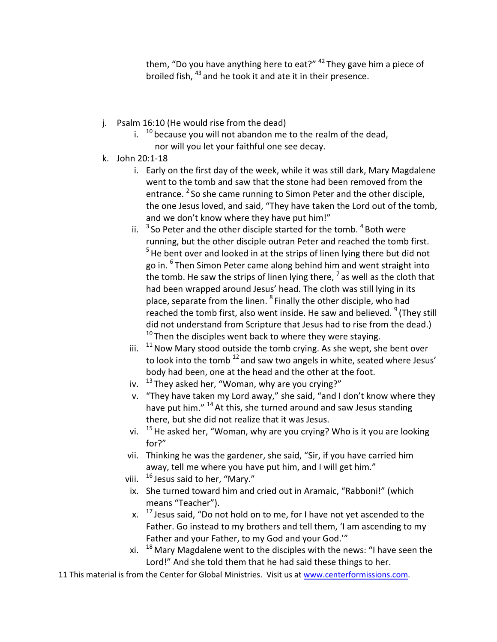them, "Do you have anything here to eat?" <sup>42</sup> They gave him a piece of broiled fish, <sup>43</sup> and he took it and ate it in their presence.

- j. Psalm 16:10 (He would rise from the dead)
	- i.  $10$  because you will not abandon me to the realm of the dead,
		- nor will you let your faithful one see decay.
- k. John 20:1‐18
	- i. Early on the first day of the week, while it was still dark, Mary Magdalene went to the tomb and saw that the stone had been removed from the entrance. <sup>2</sup> So she came running to Simon Peter and the other disciple, the one Jesus loved, and said, "They have taken the Lord out of the tomb, and we don't know where they have put him!"
	- ii.  $3$  So Peter and the other disciple started for the tomb.  $4$  Both were running, but the other disciple outran Peter and reached the tomb first.  $<sup>5</sup>$  He bent over and looked in at the strips of linen lying there but did not</sup> go in. <sup>6</sup> Then Simon Peter came along behind him and went straight into the tomb. He saw the strips of linen lying there,  $^7$  as well as the cloth that had been wrapped around Jesus' head. The cloth was still lying in its place, separate from the linen. <sup>8</sup> Finally the other disciple, who had reached the tomb first, also went inside. He saw and believed. <sup>9</sup> (They still did not understand from Scripture that Jesus had to rise from the dead.)  $10$  Then the disciples went back to where they were staying.
	- iii.  $11$ Now Mary stood outside the tomb crying. As she wept, she bent over to look into the tomb<sup>12</sup> and saw two angels in white, seated where Jesus' body had been, one at the head and the other at the foot.
	- iv.  $13$  They asked her, "Woman, why are you crying?"
	- v. "They have taken my Lord away," she said, "and I don't know where they have put him." <sup>14</sup> At this, she turned around and saw Jesus standing there, but she did not realize that it was Jesus.
	- vi.  $15$  He asked her, "Woman, why are you crying? Who is it you are looking for?"
	- vii. Thinking he was the gardener, she said, "Sir, if you have carried him away, tell me where you have put him, and I will get him."
	- viii.  $16$  Jesus said to her, "Mary."
	- ix. She turned toward him and cried out in Aramaic, "Rabboni!" (which means "Teacher").
	- x.  $17$  Jesus said, "Do not hold on to me, for I have not yet ascended to the Father. Go instead to my brothers and tell them, 'I am ascending to my Father and your Father, to my God and your God.'"
	- xi.  $18$  Mary Magdalene went to the disciples with the news: "I have seen the Lord!" And she told them that he had said these things to her.
- 11 This material is from the Center for Global Ministries. Visit us at www.centerformissions.com.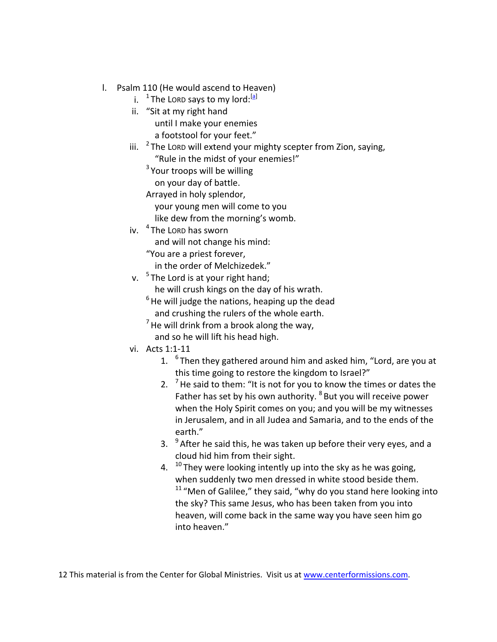- l. Psalm 110 (He would ascend to Heaven)
	- i. <sup>1</sup> The LORD says to my lord:<sup>[a]</sup>
	- ii. "Sit at my right hand until I make your enemies a footstool for your feet."
	- iii.  $2$  The LORD will extend your mighty scepter from Zion, saying, "Rule in the midst of your enemies!"

<sup>3</sup> Your troops will be willing

on your day of battle.

Arrayed in holy splendor,

your young men will come to you

- like dew from the morning's womb.
- iv. <sup>4</sup> The Lord has sworn

and will not change his mind:

"You are a priest forever,

in the order of Melchizedek."

v.  $5$  The Lord is at your right hand:

he will crush kings on the day of his wrath.

 $6$  He will judge the nations, heaping up the dead

and crushing the rulers of the whole earth.

- $<sup>7</sup>$  He will drink from a brook along the way,</sup> and so he will lift his head high.
- vi. Acts 1:1‐11
	- 1.  $6$ Then they gathered around him and asked him, "Lord, are you at this time going to restore the kingdom to Israel?"
	- 2.  $7$  He said to them: "It is not for you to know the times or dates the Father has set by his own authority. <sup>8</sup> But you will receive power when the Holy Spirit comes on you; and you will be my witnesses in Jerusalem, and in all Judea and Samaria, and to the ends of the earth."
	- 3.  $9^9$  After he said this, he was taken up before their very eyes, and a cloud hid him from their sight.
	- 4.  $10$  They were looking intently up into the sky as he was going, when suddenly two men dressed in white stood beside them.  $11$  "Men of Galilee," they said, "why do you stand here looking into the sky? This same Jesus, who has been taken from you into heaven, will come back in the same way you have seen him go into heaven."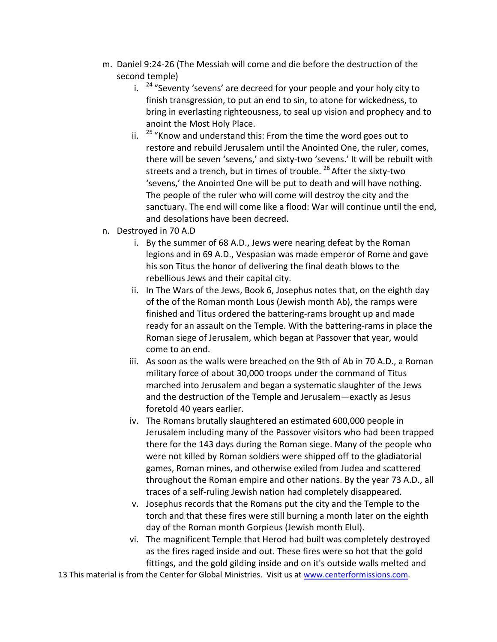- m. Daniel 9:24‐26 (The Messiah will come and die before the destruction of the second temple)
	- i.  $24$  "Seventy 'sevens' are decreed for your people and your holy city to finish transgression, to put an end to sin, to atone for wickedness, to bring in everlasting righteousness, to seal up vision and prophecy and to anoint the Most Holy Place.
	- ii.  $25$  "Know and understand this: From the time the word goes out to restore and rebuild Jerusalem until the Anointed One, the ruler, comes, there will be seven 'sevens,' and sixty‐two 'sevens.' It will be rebuilt with streets and a trench, but in times of trouble. <sup>26</sup> After the sixty-two 'sevens,' the Anointed One will be put to death and will have nothing. The people of the ruler who will come will destroy the city and the sanctuary. The end will come like a flood: War will continue until the end, and desolations have been decreed.
- n. Destroyed in 70 A.D
	- i. By the summer of 68 A.D., Jews were nearing defeat by the Roman legions and in 69 A.D., Vespasian was made emperor of Rome and gave his son Titus the honor of delivering the final death blows to the rebellious Jews and their capital city.
	- ii. In The Wars of the Jews, Book 6, Josephus notes that, on the eighth day of the of the Roman month Lous (Jewish month Ab), the ramps were finished and Titus ordered the battering‐rams brought up and made ready for an assault on the Temple. With the battering‐rams in place the Roman siege of Jerusalem, which began at Passover that year, would come to an end.
	- iii. As soon as the walls were breached on the 9th of Ab in 70 A.D., a Roman military force of about 30,000 troops under the command of Titus marched into Jerusalem and began a systematic slaughter of the Jews and the destruction of the Temple and Jerusalem—exactly as Jesus foretold 40 years earlier.
	- iv. The Romans brutally slaughtered an estimated 600,000 people in Jerusalem including many of the Passover visitors who had been trapped there for the 143 days during the Roman siege. Many of the people who were not killed by Roman soldiers were shipped off to the gladiatorial games, Roman mines, and otherwise exiled from Judea and scattered throughout the Roman empire and other nations. By the year 73 A.D., all traces of a self‐ruling Jewish nation had completely disappeared.
	- v. Josephus records that the Romans put the city and the Temple to the torch and that these fires were still burning a month later on the eighth day of the Roman month Gorpieus (Jewish month Elul).
	- vi. The magnificent Temple that Herod had built was completely destroyed as the fires raged inside and out. These fires were so hot that the gold fittings, and the gold gilding inside and on it's outside walls melted and